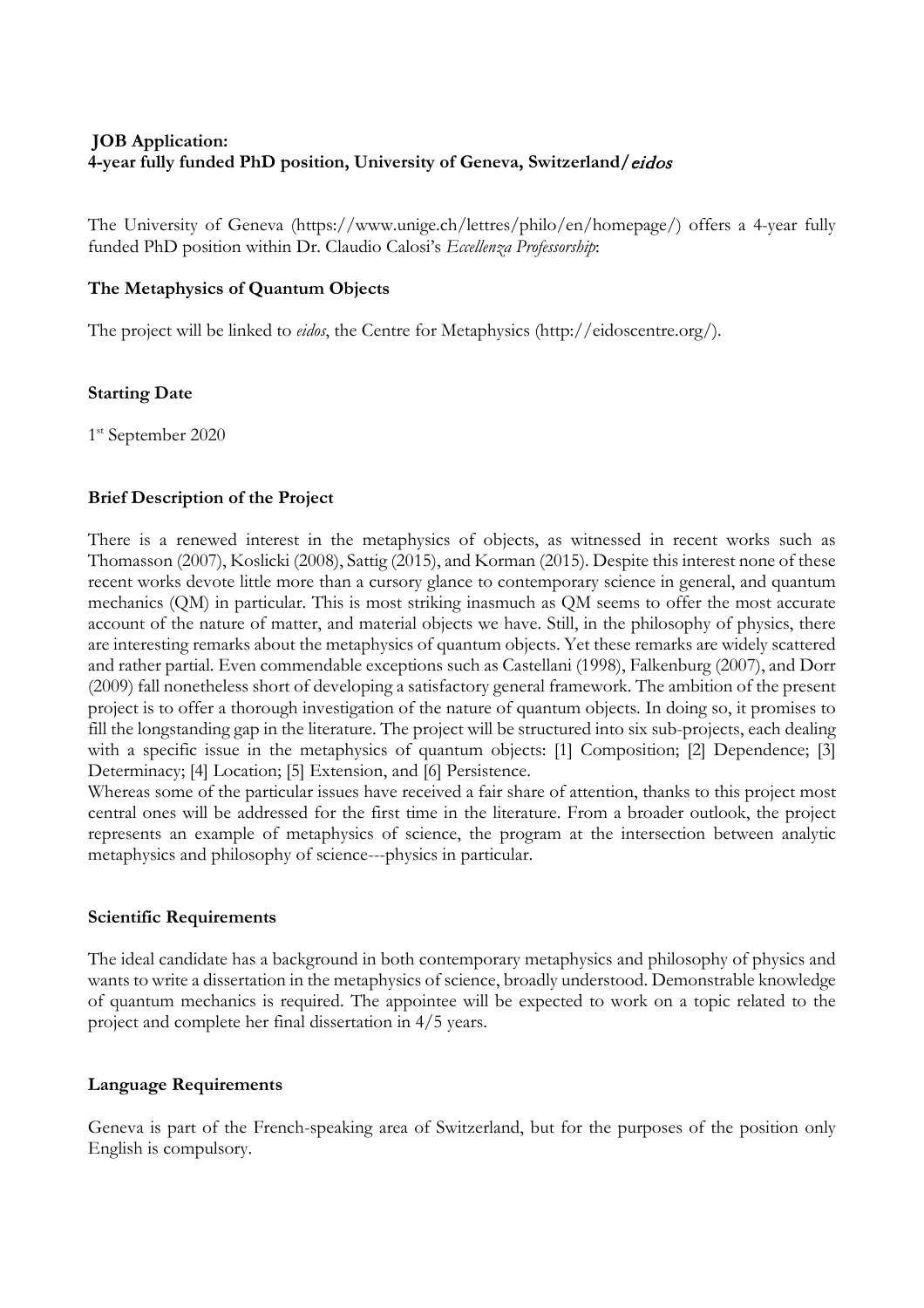# **JOB Application: 4-year fully funded PhD position, University of Geneva, Switzerland/**eidos

The University of Geneva (https://www.unige.ch/lettres/philo/en/homepage/) offers a 4-year fully funded PhD position within Dr. Claudio Calosi's *Eccellenza Professorship*:

### **The Metaphysics of Quantum Objects**

The project will be linked to *eidos*, the Centre for Metaphysics (http://eidoscentre.org/).

### **Starting Date**

1<sup>st</sup> September 2020

### **Brief Description of the Project**

There is a renewed interest in the metaphysics of objects, as witnessed in recent works such as Thomasson (2007), Koslicki (2008), Sattig (2015), and Korman (2015). Despite this interest none of these recent works devote little more than a cursory glance to contemporary science in general, and quantum mechanics (QM) in particular. This is most striking inasmuch as QM seems to offer the most accurate account of the nature of matter, and material objects we have. Still, in the philosophy of physics, there are interesting remarks about the metaphysics of quantum objects. Yet these remarks are widely scattered and rather partial. Even commendable exceptions such as Castellani (1998), Falkenburg (2007), and Dorr (2009) fall nonetheless short of developing a satisfactory general framework. The ambition of the present project is to offer a thorough investigation of the nature of quantum objects. In doing so, it promises to fill the longstanding gap in the literature. The project will be structured into six sub-projects, each dealing with a specific issue in the metaphysics of quantum objects: [1] Composition; [2] Dependence; [3] Determinacy; [4] Location; [5] Extension, and [6] Persistence.

Whereas some of the particular issues have received a fair share of attention, thanks to this project most central ones will be addressed for the first time in the literature. From a broader outlook, the project represents an example of metaphysics of science, the program at the intersection between analytic metaphysics and philosophy of science---physics in particular.

#### **Scientific Requirements**

The ideal candidate has a background in both contemporary metaphysics and philosophy of physics and wants to write a dissertation in the metaphysics of science, broadly understood. Demonstrable knowledge of quantum mechanics is required. The appointee will be expected to work on a topic related to the project and complete her final dissertation in 4/5 years.

#### **Language Requirements**

Geneva is part of the French-speaking area of Switzerland, but for the purposes of the position only English is compulsory.